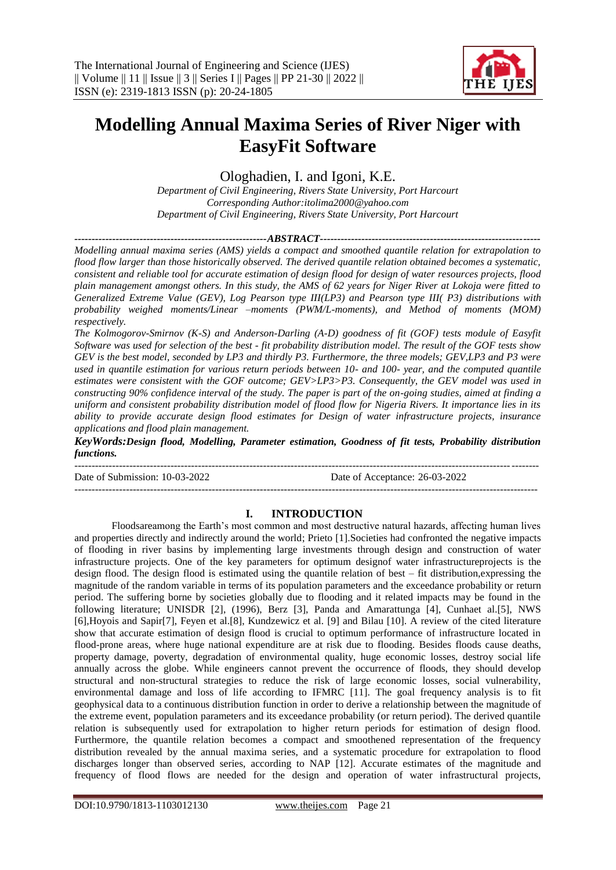

# **Modelling Annual Maxima Series of River Niger with EasyFit Software**

Ologhadien, I. and Igoni, K.E.

*Department of Civil Engineering, Rivers State University, Port Harcourt Corresponding Author:itolima2000@yahoo.com Department of Civil Engineering, Rivers State University, Port Harcourt*

## *--------------------------------------------------------ABSTRACT----------------------------------------------------------------*

*Modelling annual maxima series (AMS) yields a compact and smoothed quantile relation for extrapolation to flood flow larger than those historically observed. The derived quantile relation obtained becomes a systematic, consistent and reliable tool for accurate estimation of design flood for design of water resources projects, flood plain management amongst others. In this study, the AMS of 62 years for Niger River at Lokoja were fitted to Generalized Extreme Value (GEV), Log Pearson type III(LP3) and Pearson type III( P3) distributions with probability weighed moments/Linear –moments (PWM/L-moments), and Method of moments (MOM) respectively.* 

*The Kolmogorov-Smirnov (K-S) and Anderson-Darling (A-D) goodness of fit (GOF) tests module of Easyfit Software was used for selection of the best - fit probability distribution model. The result of the GOF tests show GEV is the best model, seconded by LP3 and thirdly P3. Furthermore, the three models; GEV,LP3 and P3 were used in quantile estimation for various return periods between 10- and 100- year, and the computed quantile estimates were consistent with the GOF outcome; GEV>LP3>P3. Consequently, the GEV model was used in constructing 90% confidence interval of the study. The paper is part of the on-going studies, aimed at finding a uniform and consistent probability distribution model of flood flow for Nigeria Rivers. It importance lies in its ability to provide accurate design flood estimates for Design of water infrastructure projects, insurance applications and flood plain management.* 

*KeyWords:Design flood, Modelling, Parameter estimation, Goodness of fit tests, Probability distribution functions.*

Date of Submission: 10-03-2022 Date of Acceptance: 26-03-2022

---------------------------------------------------------------------------------------------------------------------------------------

#### ---------------------------------------------------------------------------------------------------------------------------------------

# **I. INTRODUCTION**

Floodsareamong the Earth's most common and most destructive natural hazards, affecting human lives and properties directly and indirectly around the world; Prieto [1].Societies had confronted the negative impacts of flooding in river basins by implementing large investments through design and construction of water infrastructure projects. One of the key parameters for optimum designof water infrastructureprojects is the design flood. The design flood is estimated using the quantile relation of best – fit distribution,expressing the magnitude of the random variable in terms of its population parameters and the exceedance probability or return period. The suffering borne by societies globally due to flooding and it related impacts may be found in the following literature; UNISDR [2], (1996), Berz [3], Panda and Amarattunga [4], Cunhaet al.[5], NWS [6],Hoyois and Sapir[7], Feyen et al.[8], Kundzewicz et al. [9] and Bilau [10]. A review of the cited literature show that accurate estimation of design flood is crucial to optimum performance of infrastructure located in flood-prone areas, where huge national expenditure are at risk due to flooding. Besides floods cause deaths, property damage, poverty, degradation of environmental quality, huge economic losses, destroy social life annually across the globe. While engineers cannot prevent the occurrence of floods, they should develop structural and non-structural strategies to reduce the risk of large economic losses, social vulnerability, environmental damage and loss of life according to IFMRC [11]. The goal frequency analysis is to fit geophysical data to a continuous distribution function in order to derive a relationship between the magnitude of the extreme event, population parameters and its exceedance probability (or return period). The derived quantile relation is subsequently used for extrapolation to higher return periods for estimation of design flood. Furthermore, the quantile relation becomes a compact and smoothened representation of the frequency distribution revealed by the annual maxima series, and a systematic procedure for extrapolation to flood discharges longer than observed series, according to NAP [12]. Accurate estimates of the magnitude and frequency of flood flows are needed for the design and operation of water infrastructural projects,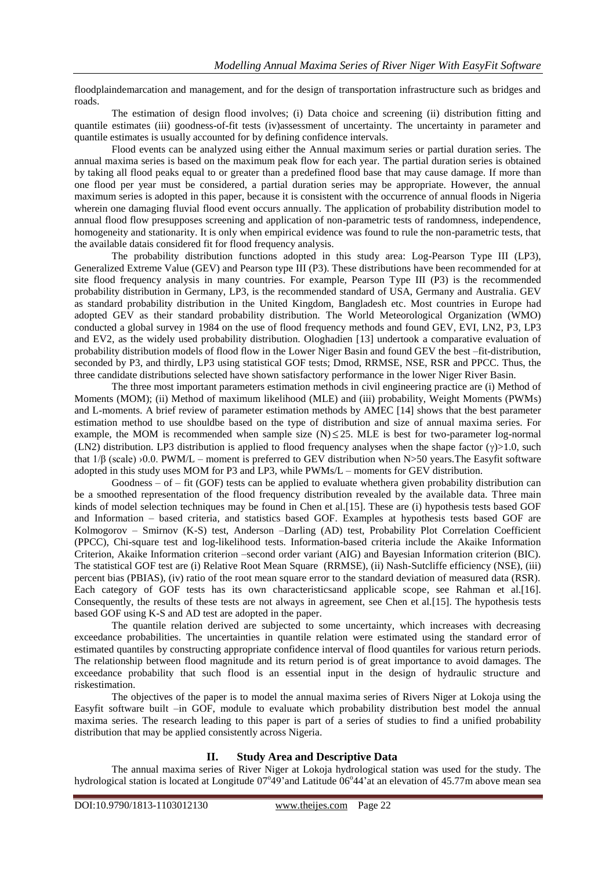floodplaindemarcation and management, and for the design of transportation infrastructure such as bridges and roads.

The estimation of design flood involves; (i) Data choice and screening (ii) distribution fitting and quantile estimates (iii) goodness-of-fit tests (iv)assessment of uncertainty. The uncertainty in parameter and quantile estimates is usually accounted for by defining confidence intervals.

Flood events can be analyzed using either the Annual maximum series or partial duration series. The annual maxima series is based on the maximum peak flow for each year. The partial duration series is obtained by taking all flood peaks equal to or greater than a predefined flood base that may cause damage. If more than one flood per year must be considered, a partial duration series may be appropriate. However, the annual maximum series is adopted in this paper, because it is consistent with the occurrence of annual floods in Nigeria wherein one damaging fluvial flood event occurs annually. The application of probability distribution model to annual flood flow presupposes screening and application of non-parametric tests of randomness, independence, homogeneity and stationarity. It is only when empirical evidence was found to rule the non-parametric tests, that the available datais considered fit for flood frequency analysis.

The probability distribution functions adopted in this study area: Log-Pearson Type III (LP3), Generalized Extreme Value (GEV) and Pearson type III (P3). These distributions have been recommended for at site flood frequency analysis in many countries. For example, Pearson Type III (P3) is the recommended probability distribution in Germany, LP3, is the recommended standard of USA, Germany and Australia. GEV as standard probability distribution in the United Kingdom, Bangladesh etc. Most countries in Europe had adopted GEV as their standard probability distribution. The World Meteorological Organization (WMO) conducted a global survey in 1984 on the use of flood frequency methods and found GEV, EVI, LN2, P3, LP3 and EV2, as the widely used probability distribution. Ologhadien [13] undertook a comparative evaluation of probability distribution models of flood flow in the Lower Niger Basin and found GEV the best –fit-distribution, seconded by P3, and thirdly, LP3 using statistical GOF tests; Dmod, RRMSE, NSE, RSR and PPCC. Thus, the three candidate distributions selected have shown satisfactory performance in the lower Niger River Basin.

The three most important parameters estimation methods in civil engineering practice are (i) Method of Moments (MOM); (ii) Method of maximum likelihood (MLE) and (iii) probability, Weight Moments (PWMs) and L-moments. A brief review of parameter estimation methods by AMEC [14] shows that the best parameter estimation method to use shouldbe based on the type of distribution and size of annual maxima series. For example, the MOM is recommended when sample size  $(N) \le 25$ . MLE is best for two-parameter log-normal (LN2) distribution. LP3 distribution is applied to flood frequency analyses when the shape factor  $(\gamma)$  >1.0, such that  $1/β$  (scale) >0.0. PWM/L – moment is preferred to GEV distribution when N>50 years. The Easyfit software adopted in this study uses MOM for P3 and LP3, while PWMs/L – moments for GEV distribution.

Goodness – of – fit (GOF) tests can be applied to evaluate whethera given probability distribution can be a smoothed representation of the flood frequency distribution revealed by the available data. Three main kinds of model selection techniques may be found in Chen et al.[15]. These are (i) hypothesis tests based GOF and Information – based criteria, and statistics based GOF. Examples at hypothesis tests based GOF are Kolmogorov – Smirnov (K-S) test, Anderson –Darling (AD) test, Probability Plot Correlation Coefficient (PPCC), Chi-square test and log-likelihood tests. Information-based criteria include the Akaike Information Criterion, Akaike Information criterion –second order variant (AIG) and Bayesian Information criterion (BIC). The statistical GOF test are (i) Relative Root Mean Square (RRMSE), (ii) Nash-Sutcliffe efficiency (NSE), (iii) percent bias (PBIAS), (iv) ratio of the root mean square error to the standard deviation of measured data (RSR). Each category of GOF tests has its own characteristicsand applicable scope, see Rahman et al.[16]. Consequently, the results of these tests are not always in agreement, see Chen et al.[15]. The hypothesis tests based GOF using K-S and AD test are adopted in the paper.

The quantile relation derived are subjected to some uncertainty, which increases with decreasing exceedance probabilities. The uncertainties in quantile relation were estimated using the standard error of estimated quantiles by constructing appropriate confidence interval of flood quantiles for various return periods. The relationship between flood magnitude and its return period is of great importance to avoid damages. The exceedance probability that such flood is an essential input in the design of hydraulic structure and riskestimation.

The objectives of the paper is to model the annual maxima series of Rivers Niger at Lokoja using the Easyfit software built –in GOF, module to evaluate which probability distribution best model the annual maxima series. The research leading to this paper is part of a series of studies to find a unified probability distribution that may be applied consistently across Nigeria.

## **II. Study Area and Descriptive Data**

The annual maxima series of River Niger at Lokoja hydrological station was used for the study. The hydrological station is located at Longitude  $07^{\circ}49'$  and Latitude  $06^{\circ}44'$  at an elevation of 45.77m above mean sea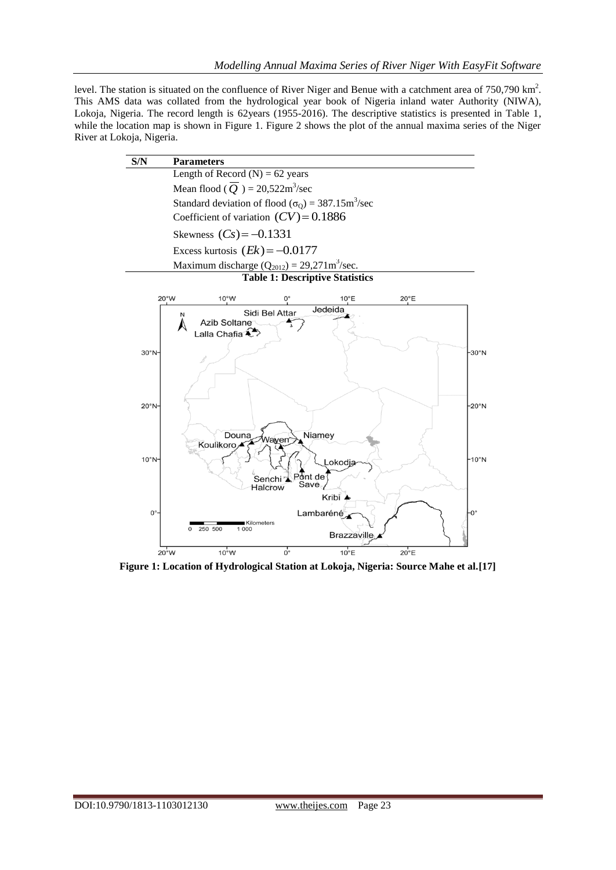level. The station is situated on the confluence of River Niger and Benue with a catchment area of  $750,790$  km<sup>2</sup>. This AMS data was collated from the hydrological year book of Nigeria inland water Authority (NIWA), Lokoja, Nigeria. The record length is 62years (1955-2016). The descriptive statistics is presented in Table 1, while the location map is shown in Figure 1. Figure 2 shows the plot of the annual maxima series of the Niger River at Lokoja, Nigeria.



**Figure 1: Location of Hydrological Station at Lokoja, Nigeria: Source Mahe et al.[17]**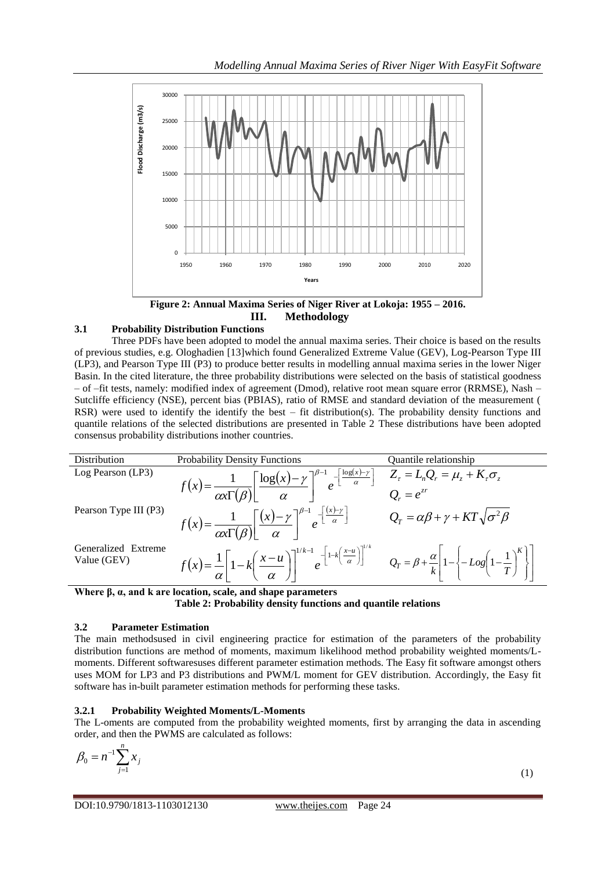

## **3.1 Probability Distribution Functions**

Three PDFs have been adopted to model the annual maxima series. Their choice is based on the results of previous studies, e.g. Ologhadien [13]which found Generalized Extreme Value (GEV), Log-Pearson Type III (LP3), and Pearson Type III (P3) to produce better results in modelling annual maxima series in the lower Niger Basin. In the cited literature, the three probability distributions were selected on the basis of statistical goodness – of –fit tests, namely: modified index of agreement (Dmod), relative root mean square error (RRMSE), Nash – Sutcliffe efficiency (NSE), percent bias (PBIAS), ratio of RMSE and standard deviation of the measurement ( RSR) were used to identify the identify the best – fit distribution(s). The probability density functions and quantile relations of the selected distributions are presented in Table 2 These distributions have been adopted consensus probability distributions inother countries.

Distribution

\nProbability Density Functions

\nQuantile relationship

\nLog Pearson (LP3)

\n
$$
f(x) = \frac{1}{\alpha x \Gamma(\beta)} \left[ \frac{\log(x) - \gamma}{\alpha} \right]^{\beta - 1} e^{-\left[ \frac{\log(x) - \gamma}{\alpha} \right]} \quad Z_{\tau} = L_n Q_r = \mu_z + K_{\tau} \sigma_z
$$
\nPearson Type III (P3)

\n
$$
f(x) = \frac{1}{\alpha x \Gamma(\beta)} \left[ \frac{(x) - \gamma}{\alpha} \right]^{\beta - 1} e^{-\left[ \frac{(x) - \gamma}{\alpha} \right]}
$$
\nGeneralized Extreme Value (GEV)

\n
$$
f(x) = \frac{1}{\alpha} \left[ 1 - k \left( \frac{x - u}{\alpha} \right) \right]^{1/k - 1} e^{-\left[ 1 - k \left( \frac{x - u}{\alpha} \right) \right]^{1/k}}
$$
\n $Q_T = \beta + \frac{\alpha}{k} \left[ 1 - \left\{ - \text{Log} \left( 1 - \frac{1}{T} \right)^K \right\} \right]$ 

**Where β, α, and k are location, scale, and shape parameters**

**Table 2: Probability density functions and quantile relations**

## **3.2 Parameter Estimation**

The main methodsused in civil engineering practice for estimation of the parameters of the probability distribution functions are method of moments, maximum likelihood method probability weighted moments/Lmoments. Different softwaresuses different parameter estimation methods. The Easy fit software amongst others uses MOM for LP3 and P3 distributions and PWM/L moment for GEV distribution. Accordingly, the Easy fit software has in-built parameter estimation methods for performing these tasks.

## **3.2.1 Probability Weighted Moments/L-Moments**

The L-oments are computed from the probability weighted moments, first by arranging the data in ascending order, and then the PWMS are calculated as follows:

$$
\beta_0 = n^{-1} \sum_{j=1}^n x_j
$$

(1)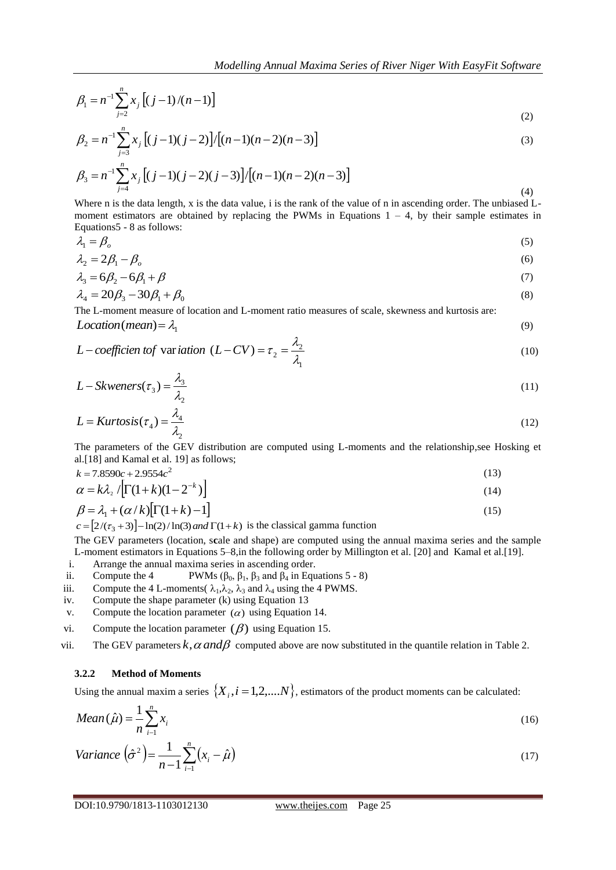(4)

$$
\beta_1 = n^{-1} \sum_{j=2}^{n} x_j \left[ (j-1)/(n-1) \right] \tag{2}
$$

$$
\beta_2 = n^{-1} \sum_{j=3}^{n} x_j \left[ (j-1)(j-2) \right] / \left[ (n-1)(n-2)(n-3) \right] \tag{3}
$$

$$
\beta_3 = n^{-1} \sum_{j=4}^n x_j [(j-1)(j-2)(j-3)]/[(n-1)(n-2)(n-3)]
$$

Where n is the data length, x is the data value, i is the rank of the value of n in ascending order. The unbiased Lmoment estimators are obtained by replacing the PWMs in Equations  $1 - 4$ , by their sample estimates in Equations5 - 8 as follows:

$$
\lambda_1 = \beta_o \tag{5}
$$

$$
\lambda_2 = 2\beta_1 - \beta_o \tag{6}
$$

$$
\lambda_3 = 6\beta_2 - 6\beta_1 + \beta \tag{7}
$$

$$
\lambda_4 = 20\beta_3 - 30\beta_1 + \beta_0 \tag{8}
$$

The L-moment measure of location and L-moment ratio measures of scale, skewness and kurtosis are: *Location*(*mean*) =  $\lambda_1$ (9)

$$
L-coefficient of variation (L-CV) = \tau_2 = \frac{\lambda_2}{\lambda_1}
$$
 (10)

$$
L-Skweners(\tau_3) = \frac{\lambda_3}{\lambda_2} \tag{11}
$$

$$
L = Kurtosis(\tau_4) = \frac{\lambda_4}{\lambda_2} \tag{12}
$$

The parameters of the GEV distribution are computed using L-moments and the relationship,see Hosking et al.[18] and Kamal et al. 19] as follows;

$$
k = 7.8590c + 2.9554c2
$$
\n
$$
\alpha = k \sqrt{|\Gamma(1 + k)(1 - 2^{-k})|}
$$
\n(13)

$$
\alpha = k\lambda_2 / \left[ \Gamma(1+k)(1-2^{-k}) \right] \tag{14}
$$

$$
\beta = \lambda_1 + (\alpha/k) \left[ \Gamma(1+k) - 1 \right] \tag{15}
$$

 $c = [2/(\tau_3 + 3)] - ln(2)/ln(3)$  and  $\Gamma(1 + k)$  is the classical gamma function

The GEV parameters (location, s**c**ale and shape) are computed using the annual maxima series and the sample L-moment estimators in Equations 5–8,in the following order by Millington et al. [20] and Kamal et al.[19].

- i. Arrange the annual maxima series in ascending order.
- ii. Compute the 4 PWMs  $(\beta_0, \beta_1, \beta_3 \text{ and } \beta_4 \text{ in Equations } 5 8)$
- iii. Compute the 4 L-moments(  $\lambda_1, \lambda_2, \lambda_3$  and  $\lambda_4$  using the 4 PWMS.
- iv. Compute the shape parameter (k) using Equation 13
- v. Compute the location parameter  $(\alpha)$  using Equation 14.
- vi. Compute the location parameter  $(\beta)$  using Equation 15.
- vii. The GEV parameters  $k$ ,  $\alpha$  and  $\beta$  computed above are now substituted in the quantile relation in Table 2.

# **3.2.2 Method of Moments**

Using the annual maxim a series  $\{X_i, i = 1,2,...N\}$ , estimators of the product moments can be calculated:

$$
Mean\left(\hat{\mu}\right) = \frac{1}{n} \sum_{i=1}^{n} x_i
$$
\n<sup>(16)</sup>

$$
Variance\left(\hat{\sigma}^2\right) = \frac{1}{n-1} \sum_{i=1}^n \left(x_i - \hat{\mu}\right)
$$
\n<sup>(17)</sup>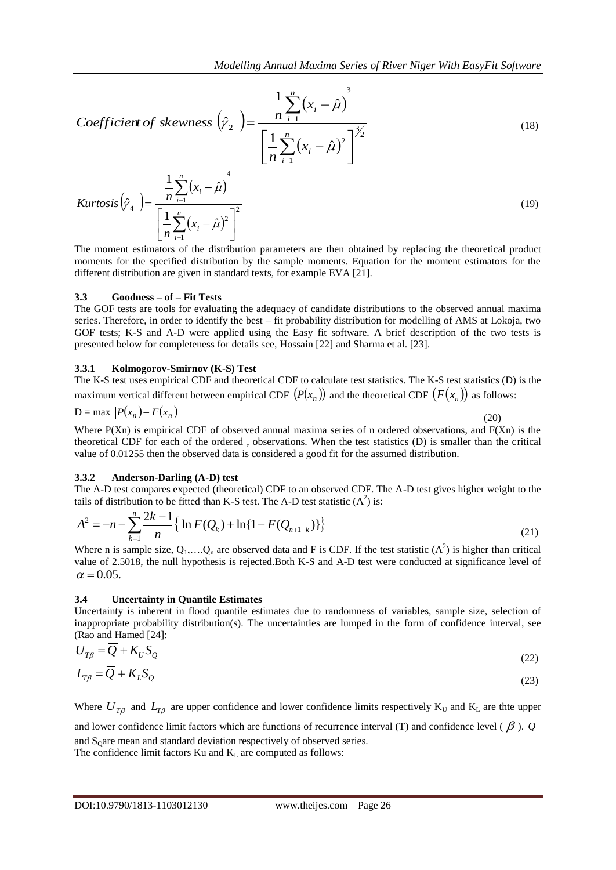$$
Coefficient of skewness \begin{pmatrix} \hat{r}_2 \\ \hat{r}_3 \end{pmatrix} = \frac{\frac{1}{n} \sum_{i=1}^n (x_i - \hat{\mu})^3}{\left[\frac{1}{n} \sum_{i=1}^n (x_i - \hat{\mu})^2\right]^{3/2}}
$$
\n
$$
1 \sum_{i=1}^n (x_i - \hat{\mu})^2
$$
\n(18)

$$
Kurtosis\left(\hat{\gamma}_4\right) = \frac{\frac{1}{n} \sum_{i=1}^{n} (x_i - \hat{\mu})}{\left[\frac{1}{n} \sum_{i=1}^{n} (x_i - \hat{\mu})^2\right]^2}
$$
(19)

The moment estimators of the distribution parameters are then obtained by replacing the theoretical product moments for the specified distribution by the sample moments. Equation for the moment estimators for the different distribution are given in standard texts, for example EVA [21].

#### **3.3 Goodness – of – Fit Tests**

The GOF tests are tools for evaluating the adequacy of candidate distributions to the observed annual maxima series. Therefore, in order to identify the best – fit probability distribution for modelling of AMS at Lokoja, two GOF tests; K-S and A-D were applied using the Easy fit software. A brief description of the two tests is presented below for completeness for details see, Hossain [22] and Sharma et al. [23].

## **3.3.1 Kolmogorov-Smirnov (K-S) Test**

The K-S test uses empirical CDF and theoretical CDF to calculate test statistics. The K-S test statistics (D) is the maximum vertical different between empirical CDF  $(P(x_n))$  and the theoretical CDF  $(F(x_n))$  as follows:

$$
D = \max |P(x_n) - F(x_n)|
$$

(20)

Where  $P(Xn)$  is empirical CDF of observed annual maxima series of n ordered observations, and  $F(Xn)$  is the theoretical CDF for each of the ordered , observations. When the test statistics (D) is smaller than the critical value of 0.01255 then the observed data is considered a good fit for the assumed distribution.

#### **3.3.2 Anderson-Darling (A-D) test**

The A-D test compares expected (theoretical) CDF to an observed CDF. The A-D test gives higher weight to the tails of distribution to be fitted than K-S test. The A-D test statistic  $(A^2)$  is:

$$
A^{2} = -n - \sum_{k=1}^{n} \frac{2k-1}{n} \{ \ln F(Q_{k}) + \ln \{1 - F(Q_{n+1-k}) \} \}
$$
\n(21)

Where n is sample size,  $Q_1,...Q_n$  are observed data and F is CDF. If the test statistic  $(A^2)$  is higher than critical value of 2.5018, the null hypothesis is rejected.Both K-S and A-D test were conducted at significance level of  $\alpha$  = 0.05.

#### **3.4 Uncertainty in Quantile Estimates**

Uncertainty is inherent in flood quantile estimates due to randomness of variables, sample size, selection of inappropriate probability distribution(s). The uncertainties are lumped in the form of confidence interval, see (Rao and Hamed [24]:

$$
U_{T\beta} = Q + K_U S_Q
$$
\n
$$
I - \overline{Q} + K \overline{S}
$$
\n(22)

$$
L_{T\beta} - Q + \Lambda_L S_Q \tag{23}
$$

Where  $U_{T\beta}$  and  $L_{T\beta}$  are upper confidence and lower confidence limits respectively  $K_U$  and  $K_L$  are the upper

and lower confidence limit factors which are functions of recurrence interval (T) and confidence level ( $\beta$ ). Q and  $S_0$  are mean and standard deviation respectively of observed series. The confidence limit factors  $Ku$  and  $K<sub>L</sub>$  are computed as follows: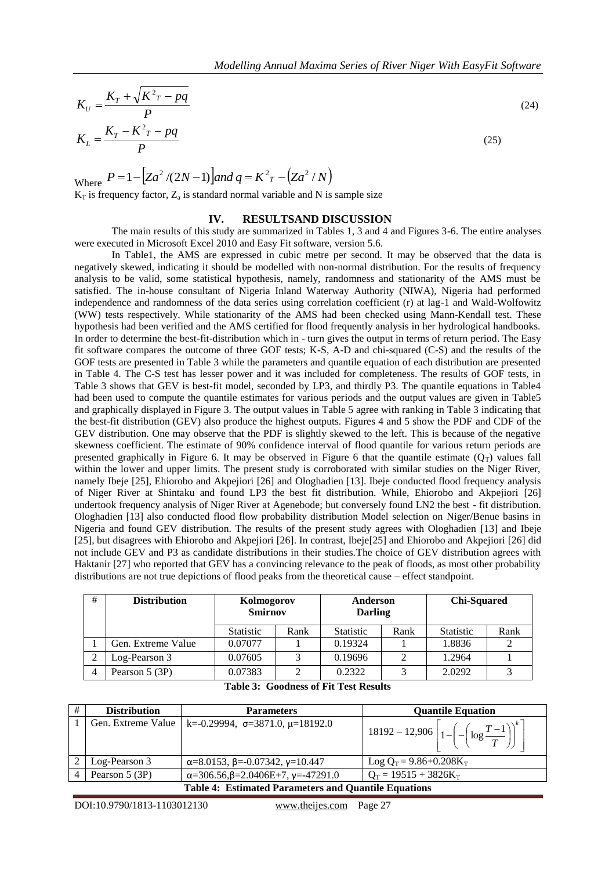$$
K_{U} = \frac{K_{T} + \sqrt{K^{2}r - pq}}{P}
$$
\n
$$
K_{L} = \frac{K_{T} - K^{2}r - pq}{P}
$$
\n(24)

Where 
$$
P = 1 - [Za^2/(2N-1)]
$$
 and  $q = K^2r - (Za^2/N)$ 

 $K_T$  is frequency factor,  $Z_a$  is standard normal variable and N is sample size

## **IV. RESULTSAND DISCUSSION**

The main results of this study are summarized in Tables 1, 3 and 4 and Figures 3-6. The entire analyses were executed in Microsoft Excel 2010 and Easy Fit software, version 5.6.

In Table1, the AMS are expressed in cubic metre per second. It may be observed that the data is negatively skewed, indicating it should be modelled with non-normal distribution. For the results of frequency analysis to be valid, some statistical hypothesis, namely, randomness and stationarity of the AMS must be satisfied. The in-house consultant of Nigeria Inland Waterway Authority (NIWA), Nigeria had performed independence and randomness of the data series using correlation coefficient (r) at lag-1 and Wald-Wolfowitz (WW) tests respectively. While stationarity of the AMS had been checked using Mann-Kendall test. These hypothesis had been verified and the AMS certified for flood frequently analysis in her hydrological handbooks. In order to determine the best-fit-distribution which in - turn gives the output in terms of return period. The Easy fit software compares the outcome of three GOF tests; K-S, A-D and chi-squared (C-S) and the results of the GOF tests are presented in Table 3 while the parameters and quantile equation of each distribution are presented in Table 4. The C-S test has lesser power and it was included for completeness. The results of GOF tests, in Table 3 shows that GEV is best-fit model, seconded by LP3, and thirdly P3. The quantile equations in Table4 had been used to compute the quantile estimates for various periods and the output values are given in Table5 and graphically displayed in Figure 3. The output values in Table 5 agree with ranking in Table 3 indicating that the best-fit distribution (GEV) also produce the highest outputs. Figures 4 and 5 show the PDF and CDF of the GEV distribution. One may observe that the PDF is slightly skewed to the left. This is because of the negative skewness coefficient. The estimate of 90% confidence interval of flood quantile for various return periods are presented graphically in Figure 6. It may be observed in Figure 6 that the quantile estimate  $(Q_T)$  values fall within the lower and upper limits. The present study is corroborated with similar studies on the Niger River, namely Ibeje [25], Ehiorobo and Akpejiori [26] and Ologhadien [13]. Ibeje conducted flood frequency analysis of Niger River at Shintaku and found LP3 the best fit distribution. While, Ehiorobo and Akpejiori [26] undertook frequency analysis of Niger River at Agenebode; but conversely found LN2 the best - fit distribution. Ologhadien [13] also conducted flood flow probability distribution Model selection on Niger/Benue basins in Nigeria and found GEV distribution. The results of the present study agrees with Ologhadien [13] and Ibeje [25], but disagrees with Ehiorobo and Akpejiori [26]. In contrast, Ibeje[25] and Ehiorobo and Akpejiori [26] did not include GEV and P3 as candidate distributions in their studies.The choice of GEV distribution agrees with Haktanir [27] who reported that GEV has a convincing relevance to the peak of floods, as most other probability distributions are not true depictions of flood peaks from the theoretical cause – effect standpoint.

| # | <b>Distribution</b> | Kolmogorov<br><b>Smirnov</b> |      | Anderson<br><b>Darling</b> |               | <b>Chi-Squared</b> |      |
|---|---------------------|------------------------------|------|----------------------------|---------------|--------------------|------|
|   |                     | <b>Statistic</b>             | Rank | <b>Statistic</b>           | Rank          | <b>Statistic</b>   | Rank |
|   | Gen. Extreme Value  | 0.07077                      |      | 0.19324                    |               | 1.8836             |      |
|   | Log-Pearson 3       | 0.07605                      |      | 0.19696                    | $\mathcal{D}$ | 1.2964             |      |
| 4 | Pearson 5 (3P)      | 0.07383                      | ↑    | 0.2322                     |               | 2.0292             |      |

| #                                                           | <b>Distribution</b> | <b>Parameters</b>                                                 | <b>Quantile Equation</b>                                                 |  |  |  |
|-------------------------------------------------------------|---------------------|-------------------------------------------------------------------|--------------------------------------------------------------------------|--|--|--|
|                                                             |                     | Gen. Extreme Value   k=-0.29994, $\sigma$ =3871.0, $\mu$ =18192.0 | 18192 - 12,906 $1 - \left( -\left( \log \frac{T-1}{T} \right) \right)^k$ |  |  |  |
|                                                             | Log-Pearson 3       | $\alpha = 8.0153$ , $\beta = -0.07342$ , $\gamma = 10.447$        | Log $Q_T$ = 9.86+0.208K <sub>T</sub>                                     |  |  |  |
|                                                             | Pearson 5 (3P)      | $\alpha = 306.56$ , $\beta = 2.0406E + 7$ , $\gamma = -47291.0$   | $Q_T = 19515 + 3826K_T$                                                  |  |  |  |
| <b>Table 4: Estimated Parameters and Quantile Equations</b> |                     |                                                                   |                                                                          |  |  |  |

DOI:10.9790/1813-1103012130 www.theijes.com Page 27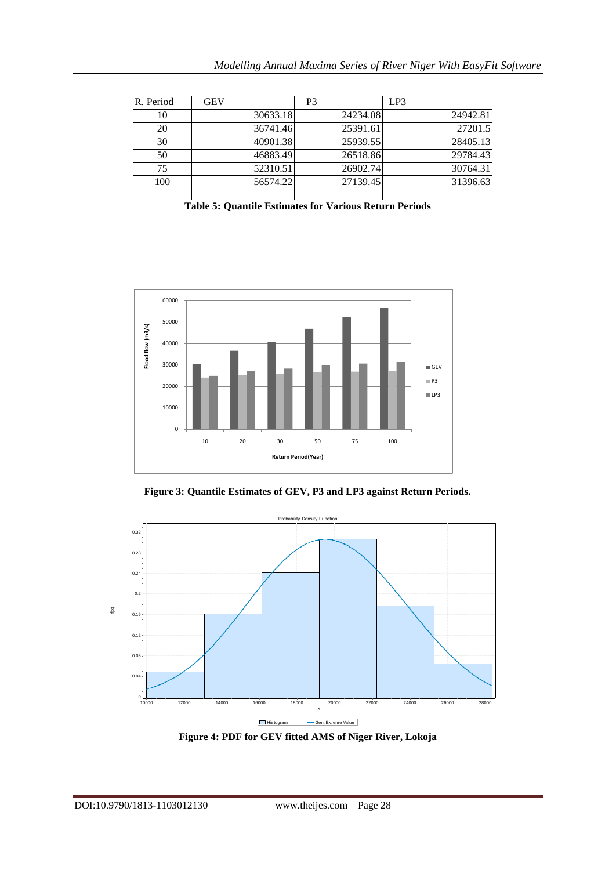| R. Period | <b>GEV</b> | P <sub>3</sub> | LP3      |
|-----------|------------|----------------|----------|
| 10        | 30633.18   | 24234.08       | 24942.81 |
| 20        | 36741.46   | 25391.61       | 27201.5  |
| 30        | 40901.38   | 25939.55       | 28405.13 |
| 50        | 46883.49   | 26518.86       | 29784.43 |
| 75        | 52310.51   | 26902.74       | 30764.31 |
| 100       | 56574.22   | 27139.45       | 31396.63 |
|           |            |                |          |

**Table 5: Quantile Estimates for Various Return Periods**



**Figure 3: Quantile Estimates of GEV, P3 and LP3 against Return Periods.**



**Figure 4: PDF for GEV fitted AMS of Niger River, Lokoja**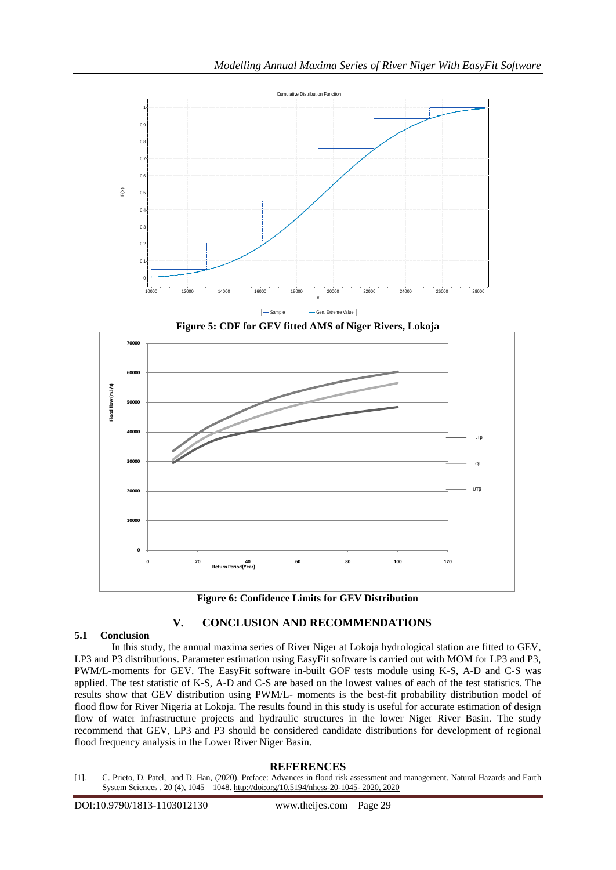







# **V. CONCLUSION AND RECOMMENDATIONS**

## **5.1 Conclusion**

In this study, the annual maxima series of River Niger at Lokoja hydrological station are fitted to GEV, LP3 and P3 distributions. Parameter estimation using EasyFit software is carried out with MOM for LP3 and P3, PWM/L-moments for GEV. The EasyFit software in-built GOF tests module using K-S, A-D and C-S was applied. The test statistic of K-S, A-D and C-S are based on the lowest values of each of the test statistics. The results show that GEV distribution using PWM/L- moments is the best-fit probability distribution model of flood flow for River Nigeria at Lokoja. The results found in this study is useful for accurate estimation of design flow of water infrastructure projects and hydraulic structures in the lower Niger River Basin. The study recommend that GEV, LP3 and P3 should be considered candidate distributions for development of regional flood frequency analysis in the Lower River Niger Basin.

## **REFERENCES**

[1]. C. Prieto, D. Patel, and D. Han, (2020). Preface: Advances in flood risk assessment and management. Natural Hazards and Earth System Sciences , 20 (4), 1045 – 1048[. http://doi:org/10.5194/nhess-20-1045-](http://doi:org/10.5194/nhess-20-1045-%202020) 2020, 2020